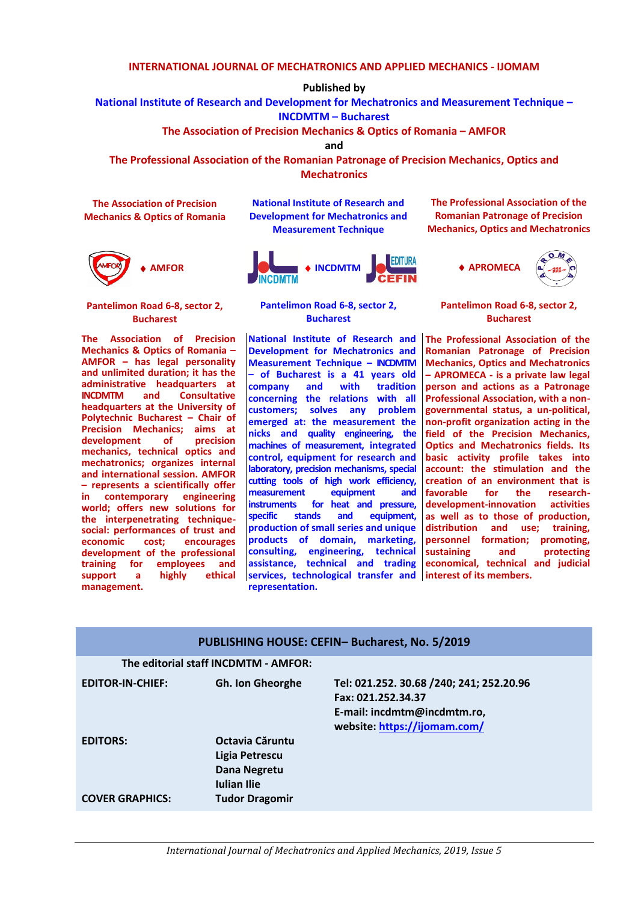### **INTERNATIONAL JOURNAL OF MECHATRONICS AND APPLIED MECHANICS - IJOMAM**

**Published by**

**National Institute of Research and Development for Mechatronics and Measurement Technique –**

**INCDMTM – Bucharest** 

**The Association of Precision Mechanics & Optics of Romania – AMFOR**

**and**

**The Professional Association of the Romanian Patronage of Precision Mechanics, Optics and Mechatronics**

**The Association of Precision Mechanics & Optics of Romania**



**Pantelimon Road 6-8, sector 2, Bucharest**

**The Association of Precision Mechanics & Optics of Romania – AMFOR – has legal personality and unlimited duration; it has the administrative headquarters at INCDMTM** and **headquarters at the University of Polytechnic Bucharest – Chair of Precision Mechanics; aims at**  development of **mechanics, technical optics and mechatronics; organizes internal and international session. AMFOR – represents a scientifically offer in contemporary engineering world; offers new solutions for the interpenetrating techniquesocial: performances of trust and encourages development of the professional training for employees and support a highly ethical management.**

**National Institute of Research and Development for Mechatronics and Measurement Technique**



**Pantelimon Road 6-8, sector 2, Bucharest**

**National Institute of Research and Development for Mechatronics and Measurement Technique – INCDMTM – of Bucharest is a 41 years old company** and **concerning the relations with all customers; solves any problem emerged at: the measurement the nicks and quality engineering, the machines of measurement, integrated control, equipment for research and laboratory, precision mechanisms, special cutting tools of high work efficiency, measurement equipment and instruments for heat and pressure, specific stands and equipment, production of small series and unique products of domain, marketing, consulting, engineering, technical assistance, technical and trading services, technological transfer and representation.**

**The Professional Association of the Romanian Patronage of Precision Mechanics, Optics and Mechatronics**



**Pantelimon Road 6-8, sector 2, Bucharest**

**The Professional Association of the Romanian Patronage of Precision Mechanics, Optics and Mechatronics – APROMECA - is a private law legal person and actions as a Patronage Professional Association, with a nongovernmental status, a un-political, non-profit organization acting in the field of the Precision Mechanics, Optics and Mechatronics fields. Its basic activity profile takes into account: the stimulation and the creation of an environment that is for the development-innovation activities as well as to those of production, distribution and use; training, personnel formation; promoting, sustaining and protecting economical, technical and judicial interest of its members.**

| PUBLISHING HOUSE: CEFIN- Bucharest, No. 5/2019 |                                                                                                  |                                                                                                                               |
|------------------------------------------------|--------------------------------------------------------------------------------------------------|-------------------------------------------------------------------------------------------------------------------------------|
| The editorial staff INCDMTM - AMFOR:           |                                                                                                  |                                                                                                                               |
| <b>EDITOR-IN-CHIEF:</b>                        | <b>Gh. Ion Gheorghe</b>                                                                          | Tel: 021.252. 30.68 /240; 241; 252.20.96<br>Fax: 021.252.34.37<br>E-mail: incdmtm@incdmtm.ro,<br>website: https://ijomam.com/ |
| <b>EDITORS:</b><br><b>COVER GRAPHICS:</b>      | Octavia Căruntu<br>Ligia Petrescu<br>Dana Negretu<br><b>Iulian Ilie</b><br><b>Tudor Dragomir</b> |                                                                                                                               |
|                                                |                                                                                                  |                                                                                                                               |